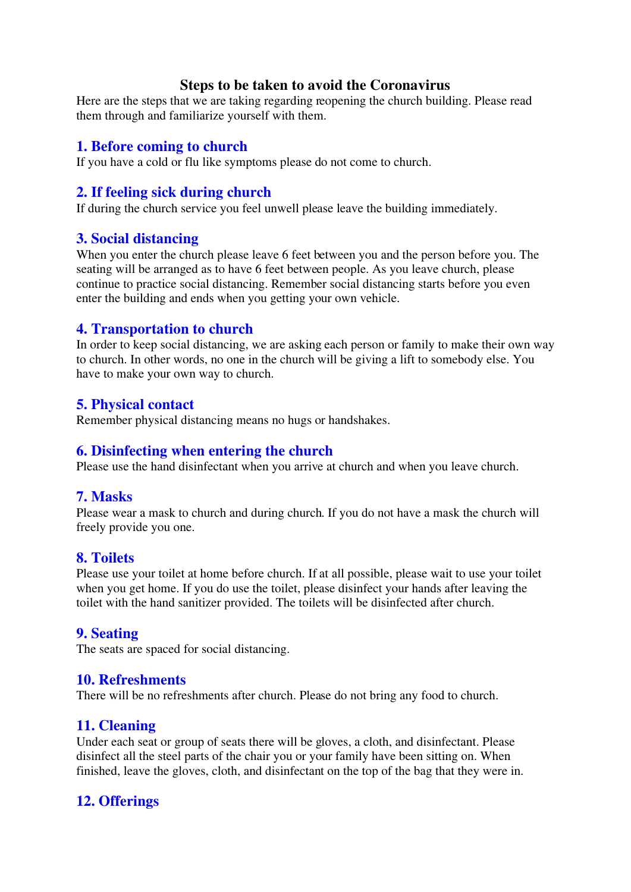## **Steps to be taken to avoid the Coronavirus**

Here are the steps that we are taking regarding reopening the church building. Please read them through and familiarize yourself with them.

## **1. Before coming to church**

If you have a cold or flu like symptoms please do not come to church.

## **2. If feeling sick during church**

If during the church service you feel unwell please leave the building immediately.

## **3. Social distancing**

When you enter the church please leave 6 feet between you and the person before you. The seating will be arranged as to have 6 feet between people. As you leave church, please continue to practice social distancing. Remember social distancing starts before you even enter the building and ends when you getting your own vehicle.

## **4. Transportation to church**

In order to keep social distancing, we are asking each person or family to make their own way to church. In other words, no one in the church will be giving a lift to somebody else. You have to make your own way to church.

## **5. Physical contact**

Remember physical distancing means no hugs or handshakes.

#### **6. Disinfecting when entering the church**

Please use the hand disinfectant when you arrive at church and when you leave church.

## **7. Masks**

Please wear a mask to church and during church. If you do not have a mask the church will freely provide you one.

#### **8. Toilets**

Please use your toilet at home before church. If at all possible, please wait to use your toilet when you get home. If you do use the toilet, please disinfect your hands after leaving the toilet with the hand sanitizer provided. The toilets will be disinfected after church.

#### **9. Seating**

The seats are spaced for social distancing.

#### **10. Refreshments**

There will be no refreshments after church. Please do not bring any food to church.

## **11. Cleaning**

Under each seat or group of seats there will be gloves, a cloth, and disinfectant. Please disinfect all the steel parts of the chair you or your family have been sitting on. When finished, leave the gloves, cloth, and disinfectant on the top of the bag that they were in.

## **12. Offerings**